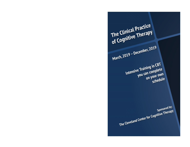The Clinical Practice<br>
of Cognitive Therapy<br>
March, 2019 – December, 2019<br>
Intensive Training in CBT<br>
Intensive Training in CBT<br>
you can complete on your own<br>
schedule<br>
Sponsored by:<br>
The Cleveland Center for Cognitive The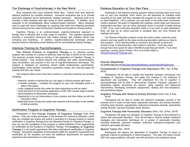# The Challenge of Psychotherapy in the Real World

Busy therapists face many demands these days. Clients want (and deserve) effective treatment for complex problems. Insurance companies ask us to provide short-term treatment and to demonstrate "medical necessity." Agencies want us to maintain a hefty caseload with high levels of client satisfaction. In addition, we're expected to be knowledgeable about evidence-based treatment. Many therapists want to cope with these challenges by updating their skills and obtaining advanced clinical training but they need training that is flexible and focused on clinical practice.

Cognitive Therapy is an evidence-based, cognitive-behavioral approach to therapy that is effective with a wide range of problems. The cognitive perspective provides a conceptual framework that makes therapy with complex clients less confusing and frustrating. In addition, cognitive-behavioral techniques provide powerful tools for alleviating current distress and for accomplishing lasting changes.

### Intensive Training for Psychotherapists

The Clinical Practice of Cognitive Therapy is an intensive training program that consists of a series of seminars held one day a month for ten months. The seminars provide hands-on training in the application of Cognitive Therapy in clinical practice. They combine lectures and readings with video, demonstrations, case consultation, and practice in the use of cognitive-behavioral techniques. The program is designed for practicing mental health professionals (psychiatrists, psychologists, social workers, counselors, psychiatric nurses, etc.) who can apply the material with their own clients.

This program offers much more than a book or a one-day workshop can provide, including:

- Intensive, hands-on training that you can apply in clinical practice right away
- A flexible schedule complete the program on your own timetable (even if it takes a few years)
- Lively, engaging faculty who make the class interesting as well as useful
- Texts that focus on the practical application of CBT with a broad range of clients
- Demonstrations of intervention techniques
- Opportunity to try out interventions in your practice and then follow up with the instructors online
- Nationally-known faculty who relate new research and innovation to the realities of clinical practice

# Certification Program in Cognitive Therapy

Participants in The Clinical Practice of Cognitive Therapy have three options. They can simply participate in the seminars for continuing education credit, they can complete two exams and submit a recording of a therapy session to receive certification in Cognitive Therapy from the Cleveland Center for Cognitive Therapy, or they can use the completion of this program in partial fulfillment of the requirements for certification by the Academy of Cognitive Therapy. The Academy of Cognitive Therapy is a non-profit organization that offers international certification in Cognitive Therapy. Successful completion of this program fulfills the academic requirements for certification by the Academy but there are additional requirements for supervised experience and submission of a work sample.

### Distance Education at Your Own Pace

Participate in the intensive training program without traveling away from home and on your own schedule. Each month you will download an unedited audio recording of the class and then complete the program on your own timetable with no fixed deadlines. Like a podcast, you can listen to the audio when convenient. Unlike a podcast, the audio is integrated with readings, online video and resources, experiential exercises, and an online discussion forum to provide in-depth training in CBT. If you want continuing education credit or if you want to seek certification, there will also be an online post-test to complete after you have finished the readings and audio.

The Distance Education program covers the same content, costs the same amount, and may qualify for the same continuing education credit as our face-toface program. You'll need the ability to connect to the Internet, to send and receive e-mail, to download files, and to listen to mp3 files. You'll also need enough hard drive space for about 150 MB of audio files per month. If you have questions, contact James Pretzer, Ph.D. at 216-831-2500 or ClinicalPracticeofCT@gmail.com.

### Course Objectives

(for detailed objectives see http://www.behavioralhealthassoc.com/educationalPrograms.php)

#### Fundamentals of Cognitive Therapy with Depression (Mar., Apr., & May, 2019)

Participants will be able to explain the essential concepts, techniques, and strategies of Cognitive Therapy and apply this material in the treatment of depression and suicidality. They will understand the role of cognition in psychopathology and be able to demonstrate Cognitive Therapy's approach to developing rapport, structuring the session, using cognitive and behavioral interventions, developing homework assignments, dealing with non-compliance, and preventing relapse.

#### Cognitive Therapy with Stress & Anxiety Disorders (June, July, & Aug., 2019)

Participants will be able to modify the treatment strategies covered in the previous term in order to treat stress, adjustment disorders, and anxiety disorders including panic disorder, agoraphobia, obsessive-compulsive disorder, generalized anxiety disorder, and post-traumatic stress disorder.

#### Cognitive Therapy with Personality Disorders (Sept., Oct., & Nov., 2019)

Participants will apply the principles of Cognitive Therapy to the treatment of clients with personality disorders. They will be able to discuss specific treatment strategies and intervention techniques for a number of personality disorders including borderline, paranoid, avoidant, antisocial, obsessive-compulsive, and histrionic personality disorders.

#### Special Topics (Dec., 2019)

Participants will explore the application of Cognitive Therapy to areas of particular interest to participants in recent programs. This year, the topics include CBT with anger problems, with grief, and with alcoholism and substance abuse.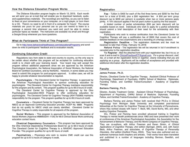# How the Distance Education Program Works

The Distance Education program begins on March 13, 2019. Each month we will send you an e-mail that will enable you to download handouts, audio, and supplementary materials. The recordings are mp3 files, so you can to listen to them at your convenience on your computer, on a mp3 player, or burn them to a CD. There's no need to sit in front of a computer for hours! The course materials are yours for your personal use so you can rewind to listen to a passage a second time whenever you want and you'll be able to review particular topics as needed. The instructors are available via email and through a Google Group whenever you have questions.

# What do Participants Think of This Program?

Go to http://www.behavioralhealthassoc.com/educationalPrograms and scroll down for links to participants' feedback and to evaluation results.

# Continuing Education Credit

Regulations vary from state to state and country to country, so the only way to be certain about whether this program will be accepted for continuing education credit is to check with your licensing board. Your board may well accept this program without additional paperwork since we are approved by the American Psychological Association, the National Association of Social Workers, the National Board for Certified Counselors, and by NAADAC. However, in some states you may need to submit this program for post-program approval. In either case, we will be happy to provide whatever documentation is required.

Psychologists – The Cleveland Center for Cognitive Therapy is approved by the American Psychological Association to sponsor continuing education for psychologists. The Cleveland Center for Cognitive Therapy maintains responsibility for the program and its content. This program qualifies for up to 69.5 hours of credit.

The Cleveland Center for Cognitive Therapy is approved by the Ohio Psychological Association-MCE Program to offer continuing education for psychologists. The Cleveland Center for Cognitive Therapy (#341753069) maintains responsibility for the program. This program qualifies for up to 69.5 hours of credit.

Counselors – Cleveland Center for Cognitive Therapy has been approved by NBCC as an Approved Continuing Education provider, ACEP No. 6889. Programs that do not qualify for NBCC credit are clearly identified. Cleveland Center for Cognitive Therapy is solely responsible for all aspects of the program.

Social Workers – This program is approved by the National Association of Social Workers (Approval #886603241-1135) for 69.5 Clinical Social Work continuing education contact hours.

Chemical Dependency Counselors – This program has been approved by the Ohio Chemical Dependency Professionals Board for up to 69.5 hours of credit. The Cleveland Center for Cognitive Therapy is a NAADAC Approved Education Provider. This program qualifies for up to 60 hours of credit.

Psychiatrists – Physicians who wish to receive CME credit can use this program for up to 67.5 hours of Category II credit.

### Registration

Fee - Tuition is \$400 for each of the first three terms and \$200 for the final term for a total of \$1400, plus a \$50 registration fee. A \$50 per term group discount (up to \$200 per person) is available when two or more persons apply jointly. A 10% discount applies if the full year's tuition is paid by the first session.

A limited number of partial scholarships (\$50 per term discount) will be available based on need. Individuals who wish to apply for a partial scholarship should submit a brief description of their need for the scholarship with their registration.

Participants who wish to receive certification from the Cleveland Center for Cognitive Therapy will pay a certification fee of \$300 that covers the cost of detailed feedback on two examinations and a recording of a therapy session.

Registration Deadline – The registration materials and fee must be received no later than Friday, February 15, 2018.

Refund Policy - The registration fee will be returned in full if enrollment is canceled prior to the registration deadline.

To Register - Mail the attached form with your registration fee, fax it to us, or scan it and e-mail to ClinicalPracticeofCT@gmail.com. For a group discount, mail, fax, or e-mail all the registration forms in together, clearly indicating that you are applying as a group. Applicants will be notified of acceptance and provided with additional information after the registration deadline.

### Faculty

#### James Pretzer, Ph.D.

Director, Cleveland Center for Cognitive Therapy. Assistant Clinical Professor of Psychology, Department of Psychiatry, CWRU School of Medicine. Diplomate, Founding Fellow, and Certified Trainer/Consultant - Academy of Cognitive Therapy.

#### Barbara Fleming, Ph.D.

Director, Anxiety Treatment Center. Assistant Clinical Professor of Psychology, Department of Psychiatry, CWRU School of Medicine. Diplomate, Founding Fellow, and Certified Trainer/Consultant - Academy of Cognitive Therapy.

Barbara Fleming and James Pretzer both received their Ph.D.s in Clinical Psychology from Michigan State University and completed post-doctoral fellowships at the Center for Cognitive Therapy at the University of Pennsylvania, where they worked closely with Aaron T. Beck, MD, David Burns, MD, and other leading Cognitive Therapists.

Drs. Pretzer and Fleming have provided advanced training in Cognitive Therapy to mental health professionals since 1982 and have presented their work at conferences of the American Psychological Association, the Association for the Advancement of Behavior Therapy, and the World Congress of Cognitive Therapy. They are co-authors, with Arthur Freeman and Karen Simon, of Clinical Applications of Cognitive Therapy, 2nd edition (Springer, 2004), and, with Aaron Beck, Arthur Freeman, and associates, of Cognitive Therapy of Personality Disorders, 2nd edition (Guilford Press, 2004). They have also authored and coauthored numerous book chapters and articles. Their works have been translated and published in a number of languages including German, Swedish, and Japanese.